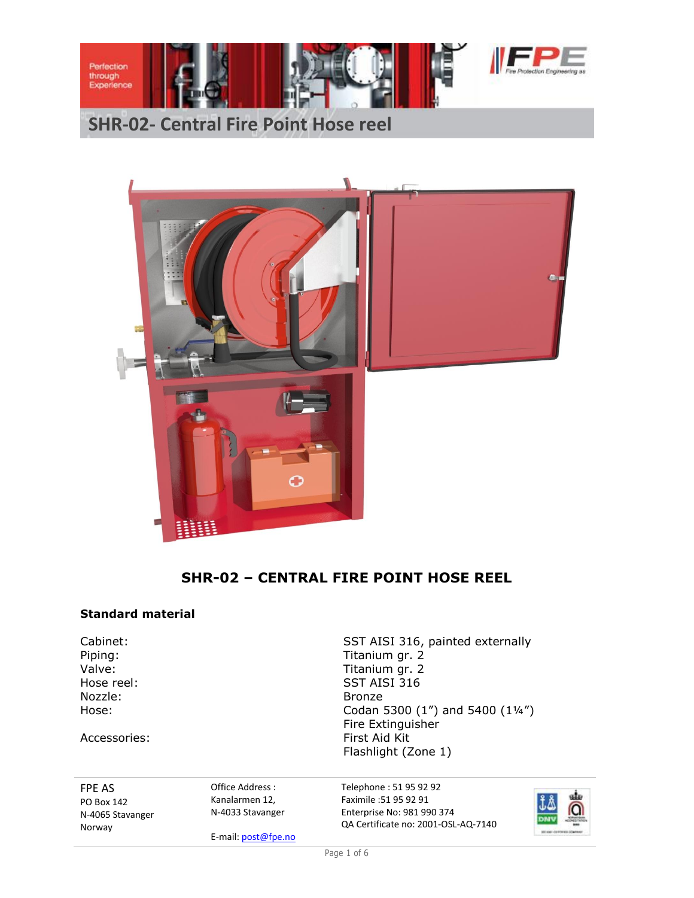

# **SHR-02- Central Fire Point Hose reel**



# **SHR-02 – CENTRAL FIRE POINT HOSE REEL**

### **Standard material**

Nozzle: Bronze

Accessories:

Cabinet: Cabinet: SST AISI 316, painted externally<br>
Piping: Titanium qr. 2 Titanium gr. 2 Valve: Valve: Titanium gr. 2 Hose reel: SST AISI 316 Hose: Codan 5300 (1") and 5400 (1¼") Fire Extinguisher First Aid Kit Flashlight (Zone 1)

FPE AS PO Box 142 N-4065 Stavanger Norway

Office Address : Kanalarmen 12, N-4033 Stavanger

E-mail: post@fpe.no

Telephone : 51 95 92 92 Faximile :51 95 92 91 Enterprise No: 981 990 374 QA Certificate no: 2001-OSL-AQ-7140



Page 1 of 6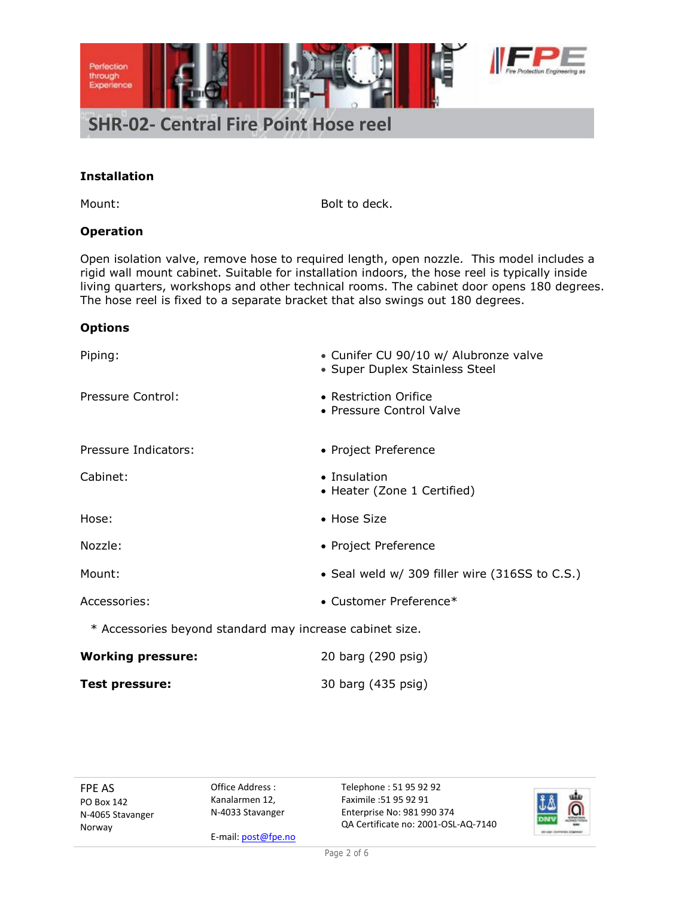

### **Installation**

Mount: Bolt to deck.

## **Operation**

Open isolation valve, remove hose to required length, open nozzle. This model includes a rigid wall mount cabinet. Suitable for installation indoors, the hose reel is typically inside living quarters, workshops and other technical rooms. The cabinet door opens 180 degrees. The hose reel is fixed to a separate bracket that also swings out 180 degrees.

### **Options**

| • Cunifer CU 90/10 w/ Alubronze valve<br>• Super Duplex Stainless Steel |  |  |  |  |  |
|-------------------------------------------------------------------------|--|--|--|--|--|
| • Restriction Orifice<br>• Pressure Control Valve                       |  |  |  |  |  |
| • Project Preference                                                    |  |  |  |  |  |
| • Insulation<br>• Heater (Zone 1 Certified)                             |  |  |  |  |  |
| • Hose Size                                                             |  |  |  |  |  |
| • Project Preference                                                    |  |  |  |  |  |
| • Seal weld w/ 309 filler wire (316SS to C.S.)                          |  |  |  |  |  |
| • Customer Preference*                                                  |  |  |  |  |  |
| * Accessories beyond standard may increase cabinet size.                |  |  |  |  |  |
| 20 barg (290 psig)                                                      |  |  |  |  |  |
|                                                                         |  |  |  |  |  |

FPE AS PO Box 142 N-4065 Stavanger Norway

Office Address : Kanalarmen 12, N-4033 Stavanger

**Test pressure:** 30 barg (435 psig)

E-mail: post@fpe.no

Telephone : 51 95 92 92 Faximile :51 95 92 91 Enterprise No: 981 990 374 QA Certificate no: 2001-OSL-AQ-7140

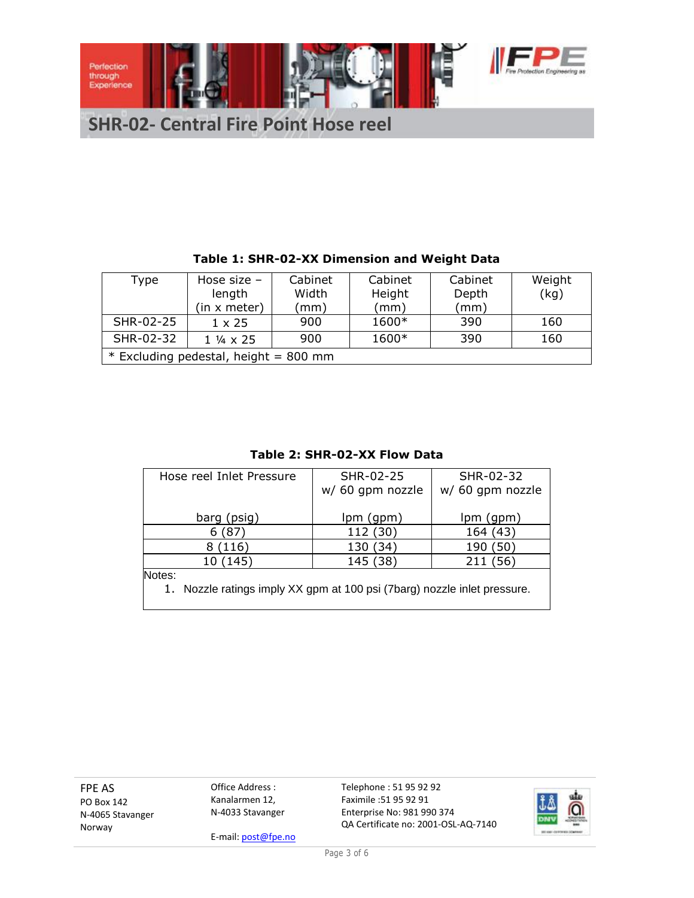

|                                       | Table 1: SHR-02-XX Dimension and Weight Data |                          |         |         |         |        |  |  |
|---------------------------------------|----------------------------------------------|--------------------------|---------|---------|---------|--------|--|--|
|                                       | <b>Type</b>                                  | Hose size $-$            | Cabinet | Cabinet | Cabinet | Weight |  |  |
|                                       |                                              | length                   | Width   | Height  | Depth   | (kg)   |  |  |
|                                       |                                              | (in x meter)             | (mm)    | (mm)    | (mm)    |        |  |  |
|                                       | SHR-02-25                                    | $1 \times 25$            | 900     | 1600*   | 390     | 160    |  |  |
|                                       | SHR-02-32                                    | $1\frac{1}{4} \times 25$ | 900     | 1600*   | 390     | 160    |  |  |
| * Excluding pedestal, height = 800 mm |                                              |                          |         |         |         |        |  |  |

### **Table 2: SHR-02-XX Flow Data**

| Hose reel Inlet Pressure                                                 | SHR-02-25        | SHR-02-32        |  |  |  |  |  |
|--------------------------------------------------------------------------|------------------|------------------|--|--|--|--|--|
|                                                                          | w/ 60 gpm nozzle | w/ 60 gpm nozzle |  |  |  |  |  |
|                                                                          |                  |                  |  |  |  |  |  |
| barg (psig)                                                              | lpm (gpm)        | lpm (gpm)        |  |  |  |  |  |
| 6(87)                                                                    | 112 (30)         | 164 (43)         |  |  |  |  |  |
| 8 (116)                                                                  | 130 (34)         | 190 (50)         |  |  |  |  |  |
| 10 (145)                                                                 | 145 (38)         | 211 (56)         |  |  |  |  |  |
| Notes:                                                                   |                  |                  |  |  |  |  |  |
| 1. Nozzle ratings imply XX gpm at 100 psi (7barg) nozzle inlet pressure. |                  |                  |  |  |  |  |  |
|                                                                          |                  |                  |  |  |  |  |  |

FPE AS PO Box 142 N-4065 Stavanger Norway

Office Address : Kanalarmen 12, N-4033 Stavanger

E-mail: post@fpe.no

Telephone : 51 95 92 92 Faximile :51 95 92 91 Enterprise No: 981 990 374 QA Certificate no: 2001-OSL-AQ-7140

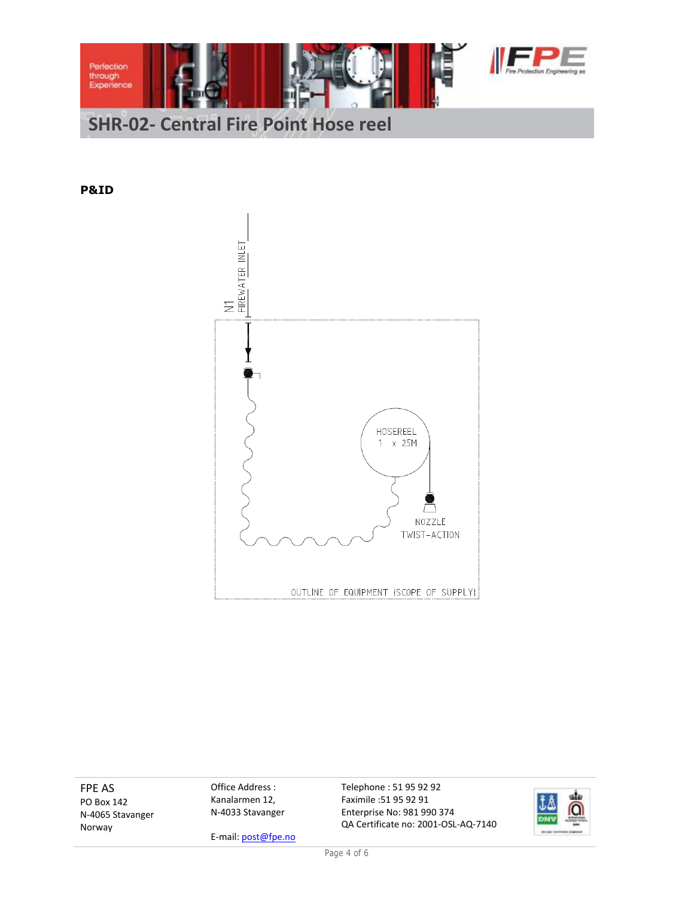

**P&ID**



FPE AS PO Box 142 N-4065 Stavanger Norway

Office Address : Kanalarmen 12, N-4033 Stavanger

E-mail: post@fpe.no

Telephone : 51 95 92 92 Faximile :51 95 92 91 Enterprise No: 981 990 374 QA Certificate no: 2001-OSL-AQ-7140

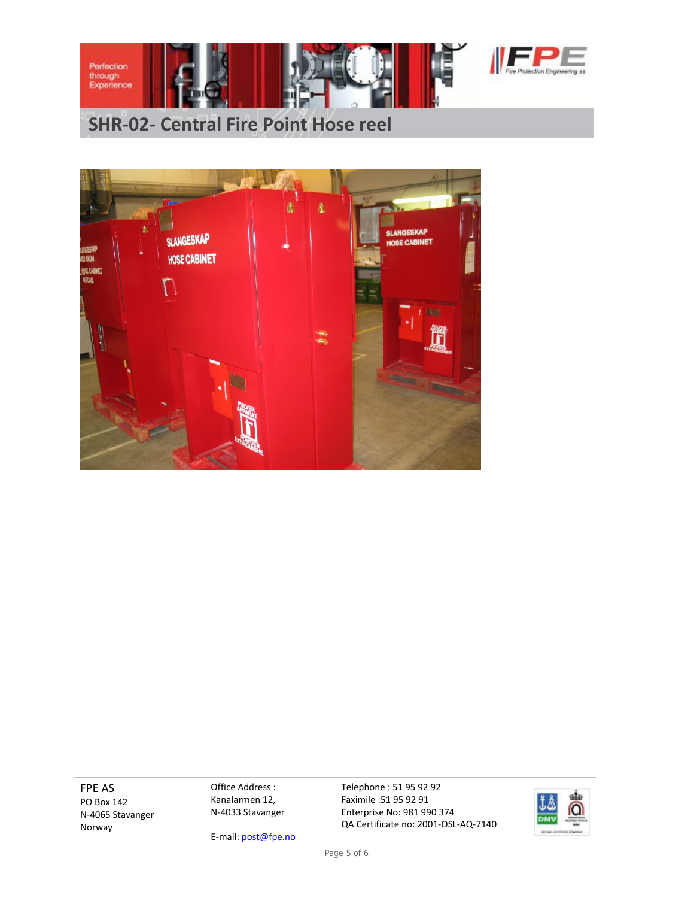

# **SHR-02- Central Fire Point Hose reel**



FPE AS PO Box 142 N-4065 Stavanger Norway

Office Address : Kanalarmen 12, N-4033 Stavanger

E-mail: post@fpe.no

Telephone : 51 95 92 92 Faximile :51 95 92 91 Enterprise No: 981 990 374 QA Certificate no: 2001-OSL-AQ-7140



Page 5 of 6